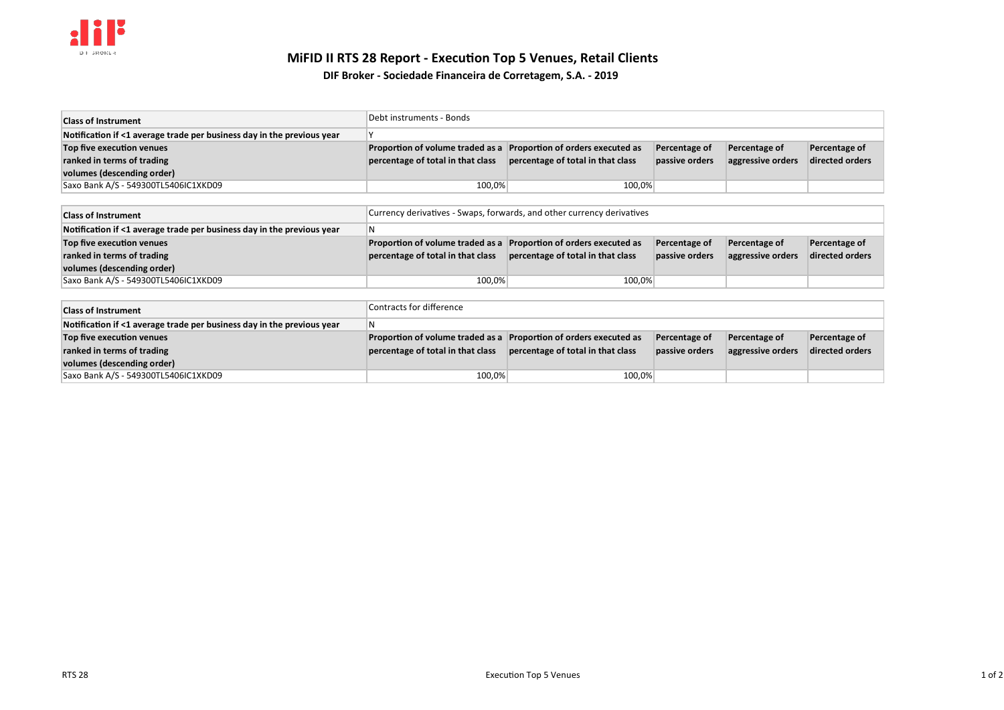## **MiFID II RTS 28 Report - Execution Top 5 Venues, Retail Clients**

**DIF Broker - Sociedade Financeira de Corretagem, S.A. - 2019**

| <b>Class of Instrument</b>                                             | Debt instruments - Bonds                                          |                                   |                |                   |                 |
|------------------------------------------------------------------------|-------------------------------------------------------------------|-----------------------------------|----------------|-------------------|-----------------|
| Notification if <1 average trade per business day in the previous year |                                                                   |                                   |                |                   |                 |
| Top five execution venues                                              | Proportion of volume traded as a Proportion of orders executed as |                                   | Percentage of  | Percentage of     | Percentage of   |
| ranked in terms of trading                                             | percentage of total in that class                                 | percentage of total in that class | passive orders | aggressive orders | directed orders |
| volumes (descending order)                                             |                                                                   |                                   |                |                   |                 |
| Saxo Bank A/S - 549300TL5406IC1XKD09                                   | 100,0%                                                            | 100,0%                            |                |                   |                 |

| <b>Class of Instrument</b>                                             | Currency derivatives - Swaps, forwards, and other currency derivatives |                                   |                |                   |                 |
|------------------------------------------------------------------------|------------------------------------------------------------------------|-----------------------------------|----------------|-------------------|-----------------|
| Notification if <1 average trade per business day in the previous year | l N                                                                    |                                   |                |                   |                 |
| Top five execution venues                                              | Proportion of volume traded as a Proportion of orders executed as      |                                   | Percentage of  | Percentage of     | Percentage of   |
| ranked in terms of trading                                             | percentage of total in that class                                      | percentage of total in that class | passive orders | aggressive orders | directed orders |
| volumes (descending order)                                             |                                                                        |                                   |                |                   |                 |
| Saxo Bank A/S - 549300TL5406IC1XKD09                                   | 100,0%                                                                 | 100,0%                            |                |                   |                 |

| <b>Class of Instrument</b>                                             | Contracts for difference                                          |                                   |                |                   |                 |
|------------------------------------------------------------------------|-------------------------------------------------------------------|-----------------------------------|----------------|-------------------|-----------------|
| Notification if <1 average trade per business day in the previous year | N                                                                 |                                   |                |                   |                 |
| Top five execution venues                                              | Proportion of volume traded as a Proportion of orders executed as |                                   | Percentage of  | Percentage of     | Percentage of   |
| ranked in terms of trading                                             | percentage of total in that class                                 | percentage of total in that class | passive orders | aggressive orders | directed orders |
| volumes (descending order)                                             |                                                                   |                                   |                |                   |                 |
| Saxo Bank A/S - 549300TL5406IC1XKD09                                   | 100,0%                                                            | 100.0%                            |                |                   |                 |